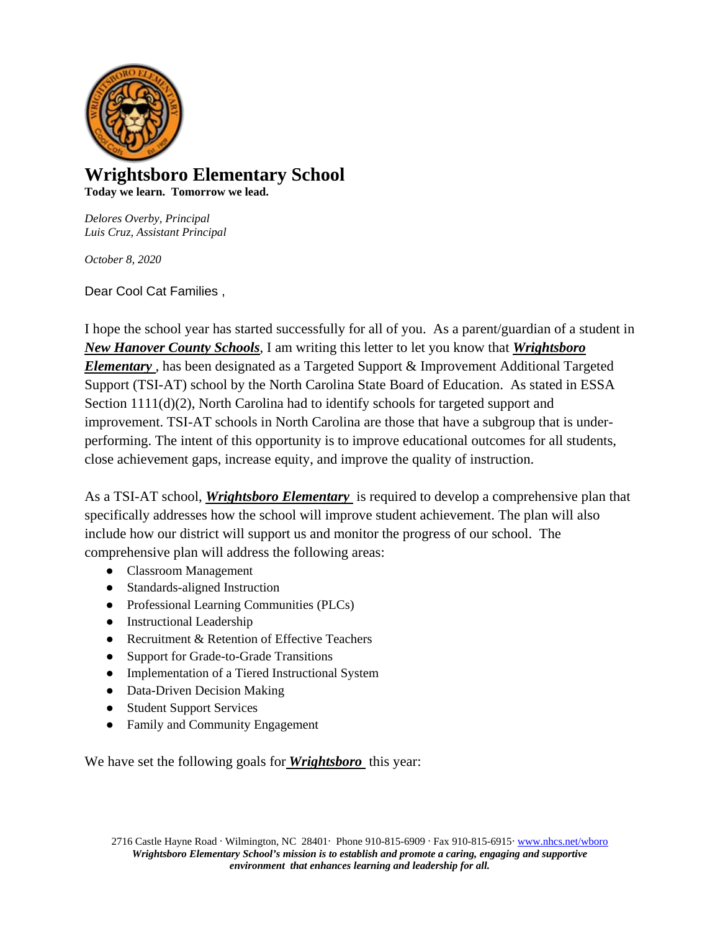

## **Wrightsboro Elementary School Today we learn. Tomorrow we lead.**

*Delores Overby, Principal Luis Cruz, Assistant Principal*

*October 8, 2020*

Dear Cool Cat Families ,

I hope the school year has started successfully for all of you. As a parent/guardian of a student in *New Hanover County Schools*, I am writing this letter to let you know that *Wrightsboro Elementary ,* has been designated as a Targeted Support & Improvement Additional Targeted Support (TSI-AT) school by the North Carolina State Board of Education. As stated in ESSA Section  $1111(d)(2)$ , North Carolina had to identify schools for targeted support and improvement. TSI-AT schools in North Carolina are those that have a subgroup that is underperforming. The intent of this opportunity is to improve educational outcomes for all students, close achievement gaps, increase equity, and improve the quality of instruction.

As a TSI-AT school, *Wrightsboro Elementary* is required to develop a comprehensive plan that specifically addresses how the school will improve student achievement. The plan will also include how our district will support us and monitor the progress of our school. The comprehensive plan will address the following areas:

- Classroom Management
- Standards-aligned Instruction
- Professional Learning Communities (PLCs)
- Instructional Leadership
- Recruitment & Retention of Effective Teachers
- Support for Grade-to-Grade Transitions
- Implementation of a Tiered Instructional System
- Data-Driven Decision Making
- Student Support Services
- Family and Community Engagement

We have set the following goals for *Wrightsboro* this year: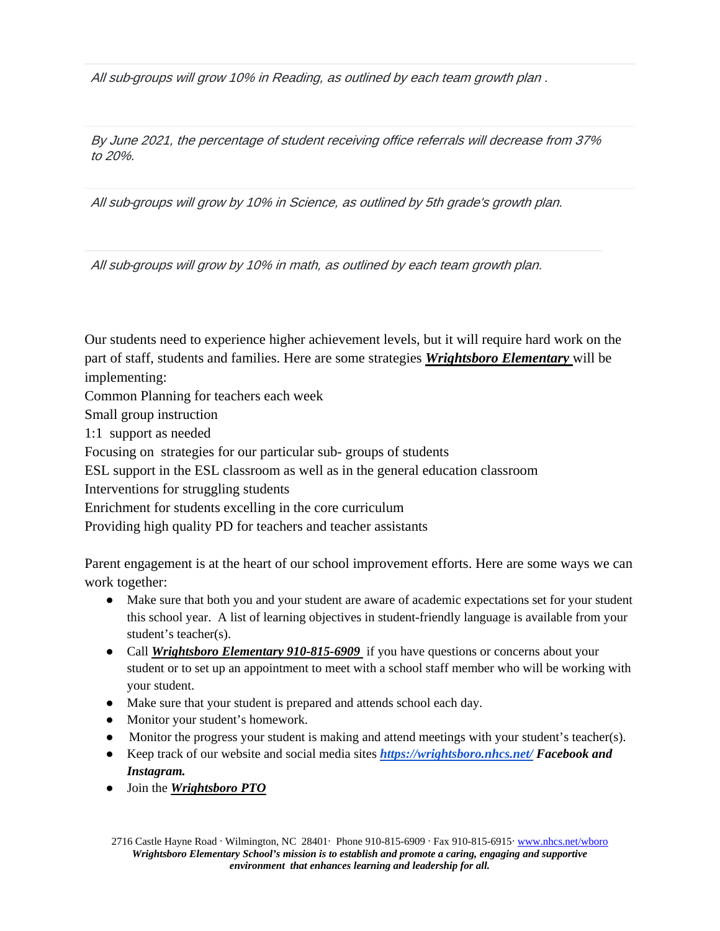All sub-groups will grow 10% in Reading, as outlined by each team growth plan .

By June 2021, the percentage of student receiving office referrals will decrease from 37% to 20%.

All sub-groups will grow by 10% in Science, as outlined by 5th grade's growth plan.

All sub-groups will grow by 10% in math, as outlined by each team growth plan.

Our students need to experience higher achievement levels, but it will require hard work on the part of staff, students and families. Here are some strategies *Wrightsboro Elementary* will be implementing:

Common Planning for teachers each week

Small group instruction

1:1 support as needed

Focusing on strategies for our particular sub- groups of students

ESL support in the ESL classroom as well as in the general education classroom

Interventions for struggling students

Enrichment for students excelling in the core curriculum

Providing high quality PD for teachers and teacher assistants

Parent engagement is at the heart of our school improvement efforts. Here are some ways we can work together:

- Make sure that both you and your student are aware of academic expectations set for your student this school year. A list of learning objectives in student-friendly language is available from your student's teacher(s).
- Call *Wrightsboro Elementary 910-815-6909* if you have questions or concerns about your student or to set up an appointment to meet with a school staff member who will be working with your student.
- Make sure that your student is prepared and attends school each day.
- Monitor your student's homework.
- Monitor the progress your student is making and attend meetings with your student's teacher(s).
- Keep track of our website and social media sites *<https://wrightsboro.nhcs.net/> Facebook and Instagram.*
- Join the *Wrightsboro PTO*

2716 Castle Hayne Road ∙ Wilmington, NC 28401∙ Phone 910-815-6909 ∙ Fax 910-815-6915∙ [www.nhcs.net/wboro](http://www.nhcs.net/wboro) *Wrightsboro Elementary School's mission is to establish and promote a caring, engaging and supportive environment that enhances learning and leadership for all.*